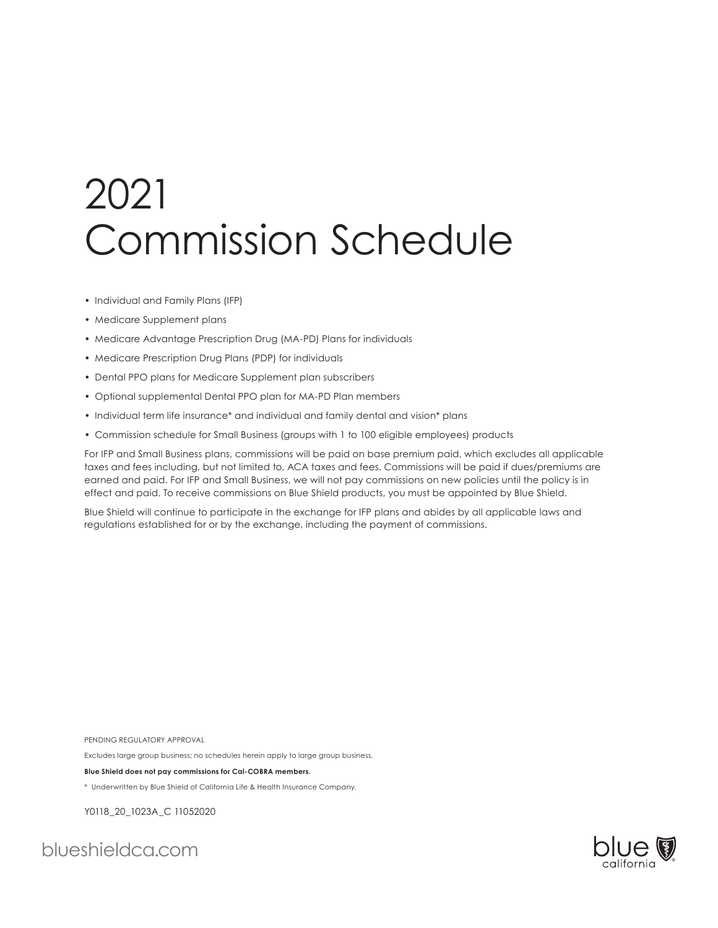# 2021 Commission Schedule

- Individual and Family Plans (IFP)
- Medicare Supplement plans
- Medicare Advantage Prescription Drug (MA-PD) Plans for individuals
- Medicare Prescription Drug Plans (PDP) for individuals
- Dental PPO plans for Medicare Supplement plan subscribers
- Optional supplemental Dental PPO plan for MA-PD Plan members
- Individual term life insurance\* and individual and family dental and vision\* plans
- Commission schedule for Small Business (groups with 1 to 100 eligible employees) products

For IFP and Small Business plans, commissions will be paid on base premium paid, which excludes all applicable taxes and fees including, but not limited to, ACA taxes and fees. Commissions will be paid if dues/premiums are earned and paid. For IFP and Small Business, we will not pay commissions on new policies until the policy is in effect and paid. To receive commissions on Blue Shield products, you must be appointed by Blue Shield.

Blue Shield will continue to participate in the exchange for IFP plans and abides by all applicable laws and regulations established for or by the exchange, including the payment of commissions.

PENDING REGULATORY APPROVAL

Excludes large group business; no schedules herein apply to large group business.

**Blue Shield does not pay commissions for Cal-COBRA members.**

\* Underwritten by Blue Shield of California Life & Health Insurance Company.

Y0118\_20\_1023A\_C 11052020

blueshieldca.com

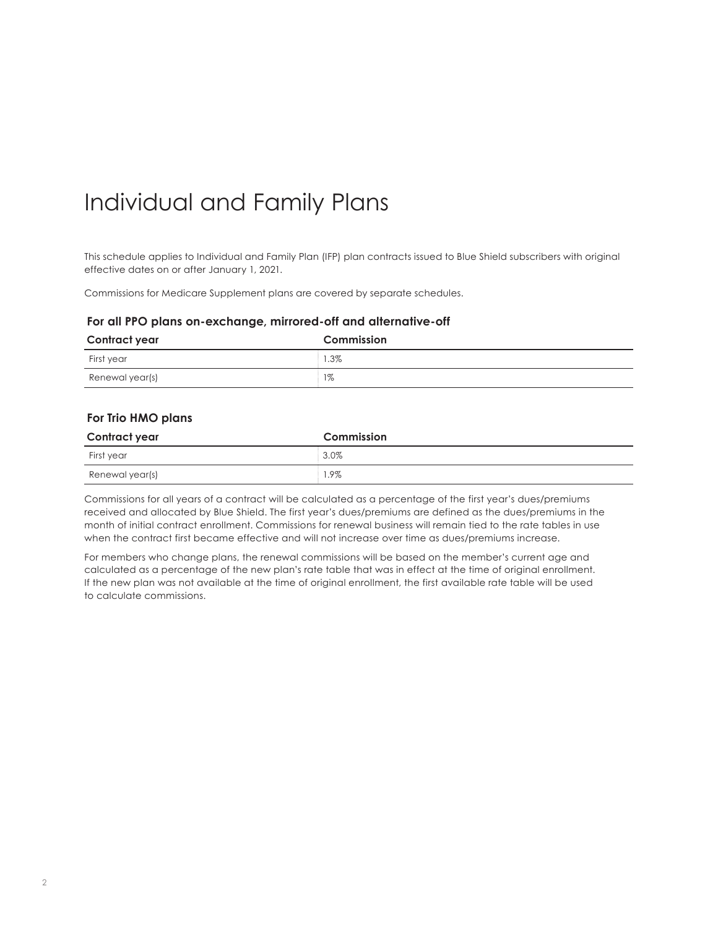## Individual and Family Plans

This schedule applies to Individual and Family Plan (IFP) plan contracts issued to Blue Shield subscribers with original effective dates on or after January 1, 2021.

Commissions for Medicare Supplement plans are covered by separate schedules.

#### **For all PPO plans on-exchange, mirrored-off and alternative-off**

| Contract year   | Commission |
|-----------------|------------|
| First year      | $1.3\%$    |
| Renewal year(s) | $1\%$      |

#### **For Trio HMO plans**

| Contract year   | Commission |
|-----------------|------------|
| First year      | $3.0\%$    |
| Renewal year(s) | 1.9%       |

Commissions for all years of a contract will be calculated as a percentage of the first year's dues/premiums received and allocated by Blue Shield. The first year's dues/premiums are defined as the dues/premiums in the month of initial contract enrollment. Commissions for renewal business will remain tied to the rate tables in use when the contract first became effective and will not increase over time as dues/premiums increase.

For members who change plans, the renewal commissions will be based on the member's current age and calculated as a percentage of the new plan's rate table that was in effect at the time of original enrollment. If the new plan was not available at the time of original enrollment, the first available rate table will be used to calculate commissions.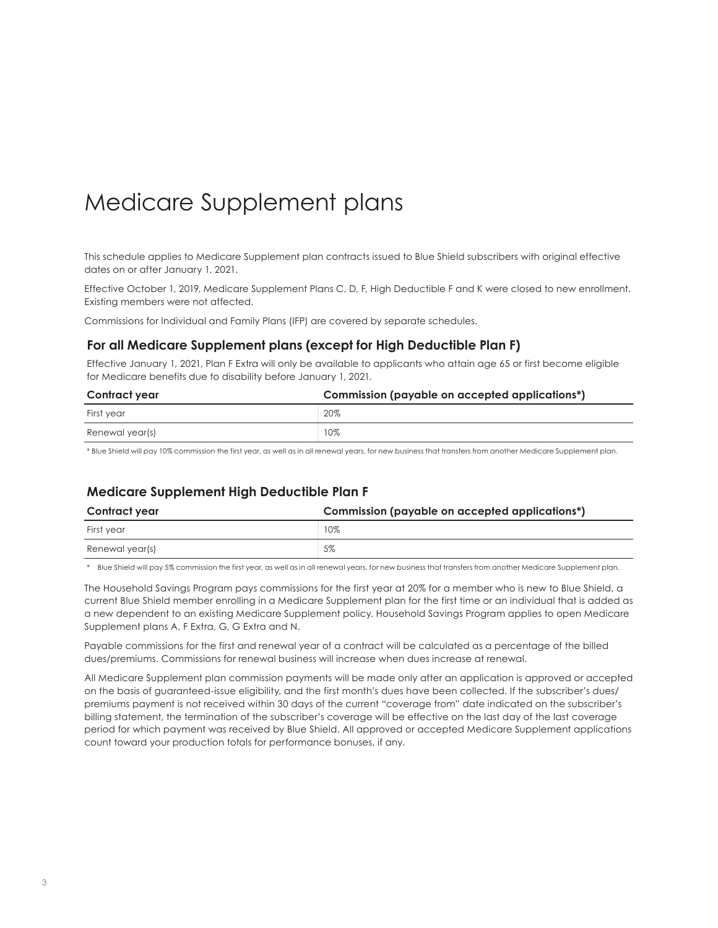### Medicare Supplement plans

This schedule applies to Medicare Supplement plan contracts issued to Blue Shield subscribers with original effective dates on or after January 1, 2021.

Effective October 1, 2019, Medicare Supplement Plans C, D, F, High Deductible F and K were closed to new enrollment. Existing members were not affected.

Commissions for Individual and Family Plans (IFP) are covered by separate schedules.

#### **For all Medicare Supplement plans (except for High Deductible Plan F)**

Effective January 1, 2021, Plan F Extra will only be available to applicants who attain age 65 or first become eligible for Medicare benefits due to disability before January 1, 2021.

| Contract year   | Commission (payable on accepted applications*) |
|-----------------|------------------------------------------------|
| First vear      | 20%                                            |
| Renewal year(s) | 10%                                            |

\* Blue Shield will pay 10% commission the first year, as well as in all renewal years, for new business that transfers from another Medicare Supplement plan.

#### **Medicare Supplement High Deductible Plan F**

| Contract year   | Commission (payable on accepted applications*) |
|-----------------|------------------------------------------------|
| First year      | 10%                                            |
| Renewal year(s) | 5%                                             |

\* Blue Shield will pay 5% commission the first year, as well as in all renewal years, for new business that transfers from another Medicare Supplement plan.

The Household Savings Program pays commissions for the first year at 20% for a member who is new to Blue Shield, a current Blue Shield member enrolling in a Medicare Supplement plan for the first time or an individual that is added as a new dependent to an existing Medicare Supplement policy. Household Savings Program applies to open Medicare Supplement plans A, F Extra, G, G Extra and N.

Payable commissions for the first and renewal year of a contract will be calculated as a percentage of the billed dues/premiums. Commissions for renewal business will increase when dues increase at renewal.

All Medicare Supplement plan commission payments will be made only after an application is approved or accepted on the basis of guaranteed-issue eligibility, and the first month's dues have been collected. If the subscriber's dues/ premiums payment is not received within 30 days of the current "coverage from" date indicated on the subscriber's billing statement, the termination of the subscriber's coverage will be effective on the last day of the last coverage period for which payment was received by Blue Shield. All approved or accepted Medicare Supplement applications count toward your production totals for performance bonuses, if any.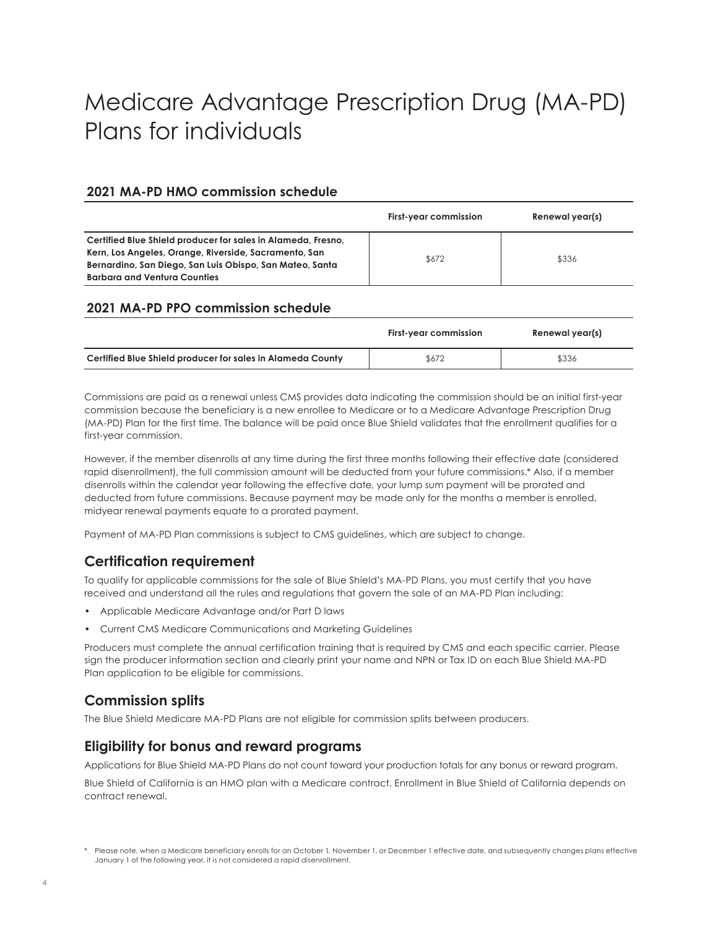# Medicare Advantage Prescription Drug (MA-PD) Plans for individuals

#### **2021 MA-PD HMO commission schedule**

|                                                                                                                                                                                                                          | First-year commission | Renewal year(s) |
|--------------------------------------------------------------------------------------------------------------------------------------------------------------------------------------------------------------------------|-----------------------|-----------------|
| Certified Blue Shield producer for sales in Alameda, Fresno,<br>Kern, Los Angeles, Orange, Riverside, Sacramento, San<br>Bernardino, San Diego, San Luis Obispo, San Mateo, Santa<br><b>Barbara and Ventura Counties</b> | \$672                 | \$336           |

#### **2021 MA-PD PPO commission schedule**

|                                                            | First-year commission | Renewal year(s) |
|------------------------------------------------------------|-----------------------|-----------------|
| Certified Blue Shield producer for sales in Alameda County | \$672                 | \$336           |

Commissions are paid as a renewal unless CMS provides data indicating the commission should be an initial first-year commission because the beneficiary is a new enrollee to Medicare or to a Medicare Advantage Prescription Drug (MA-PD) Plan for the first time. The balance will be paid once Blue Shield validates that the enrollment qualifies for a first-year commission.

However, if the member disenrolls at any time during the first three months following their effective date (considered rapid disenrollment), the full commission amount will be deducted from your future commissions.\* Also, if a member disenrolls within the calendar year following the effective date, your lump sum payment will be prorated and deducted from future commissions. Because payment may be made only for the months a member is enrolled, midyear renewal payments equate to a prorated payment.

Payment of MA-PD Plan commissions is subject to CMS guidelines, which are subject to change.

### **Certification requirement**

To qualify for applicable commissions for the sale of Blue Shield's MA-PD Plans, you must certify that you have received and understand all the rules and regulations that govern the sale of an MA-PD Plan including:

- Applicable Medicare Advantage and/or Part D laws
- Current CMS Medicare Communications and Marketing Guidelines

Producers must complete the annual certification training that is required by CMS and each specific carrier. Please sign the producer information section and clearly print your name and NPN or Tax ID on each Blue Shield MA-PD Plan application to be eligible for commissions.

### **Commission splits**

The Blue Shield Medicare MA-PD Plans are not eligible for commission splits between producers.

### **Eligibility for bonus and reward programs**

Applications for Blue Shield MA-PD Plans do not count toward your production totals for any bonus or reward program.

Blue Shield of California is an HMO plan with a Medicare contract. Enrollment in Blue Shield of California depends on contract renewal.

<sup>\*</sup> Please note, when a Medicare beneficiary enrolls for an October 1, November 1, or December 1 effective date, and subsequently changes plans effective January 1 of the following year, it is not considered a rapid disenrollment.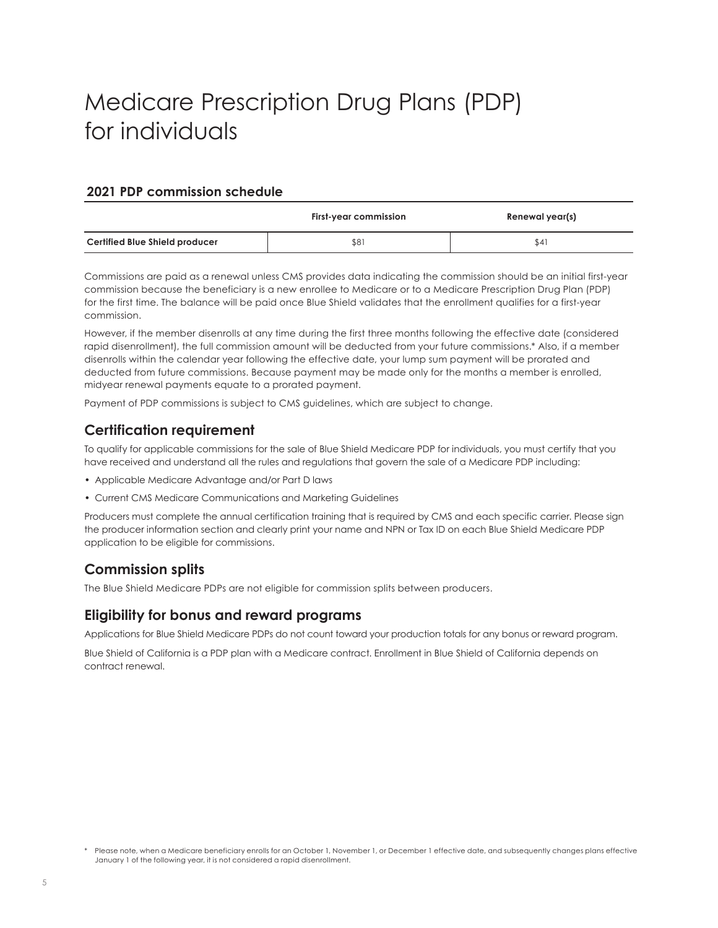# Medicare Prescription Drug Plans (PDP) for individuals

#### **2021 PDP commission schedule**

|                                       | <b>First-year commission</b><br>Renewal year(s) |      |
|---------------------------------------|-------------------------------------------------|------|
| <b>Certified Blue Shield producer</b> | \$81                                            | \$41 |

Commissions are paid as a renewal unless CMS provides data indicating the commission should be an initial first-year commission because the beneficiary is a new enrollee to Medicare or to a Medicare Prescription Drug Plan (PDP) for the first time. The balance will be paid once Blue Shield validates that the enrollment qualifies for a first-year commission.

However, if the member disenrolls at any time during the first three months following the effective date (considered rapid disenrollment), the full commission amount will be deducted from your future commissions.\* Also, if a member disenrolls within the calendar year following the effective date, your lump sum payment will be prorated and deducted from future commissions. Because payment may be made only for the months a member is enrolled, midyear renewal payments equate to a prorated payment.

Payment of PDP commissions is subject to CMS guidelines, which are subject to change.

### **Certification requirement**

To qualify for applicable commissions for the sale of Blue Shield Medicare PDP for individuals, you must certify that you have received and understand all the rules and regulations that govern the sale of a Medicare PDP including:

- Applicable Medicare Advantage and/or Part D laws
- Current CMS Medicare Communications and Marketing Guidelines

Producers must complete the annual certification training that is required by CMS and each specific carrier. Please sign the producer information section and clearly print your name and NPN or Tax ID on each Blue Shield Medicare PDP application to be eligible for commissions.

### **Commission splits**

The Blue Shield Medicare PDPs are not eligible for commission splits between producers.

#### **Eligibility for bonus and reward programs**

Applications for Blue Shield Medicare PDPs do not count toward your production totals for any bonus or reward program.

Blue Shield of California is a PDP plan with a Medicare contract. Enrollment in Blue Shield of California depends on contract renewal.

<sup>\*</sup> Please note, when a Medicare beneficiary enrolls for an October 1, November 1, or December 1 effective date, and subsequently changes plans effective January 1 of the following year, it is not considered a rapid disenrollment.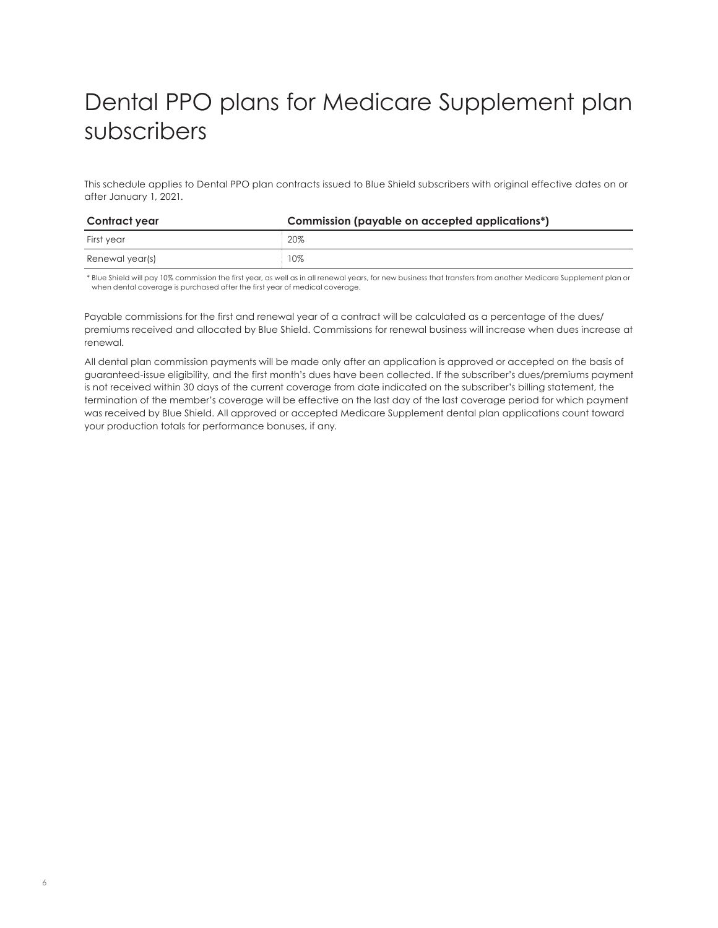# Dental PPO plans for Medicare Supplement plan subscribers

This schedule applies to Dental PPO plan contracts issued to Blue Shield subscribers with original effective dates on or after January 1, 2021.

| Contract year   | Commission (payable on accepted applications*) |
|-----------------|------------------------------------------------|
| First vear      | 20%                                            |
| Renewal year(s) | 10%                                            |

\* Blue Shield will pay 10% commission the first year, as well as in all renewal years, for new business that transfers from another Medicare Supplement plan or when dental coverage is purchased after the first year of medical coverage.

Payable commissions for the first and renewal year of a contract will be calculated as a percentage of the dues/ premiums received and allocated by Blue Shield. Commissions for renewal business will increase when dues increase at renewal.

All dental plan commission payments will be made only after an application is approved or accepted on the basis of guaranteed-issue eligibility, and the first month's dues have been collected. If the subscriber's dues/premiums payment is not received within 30 days of the current coverage from date indicated on the subscriber's billing statement, the termination of the member's coverage will be effective on the last day of the last coverage period for which payment was received by Blue Shield. All approved or accepted Medicare Supplement dental plan applications count toward your production totals for performance bonuses, if any.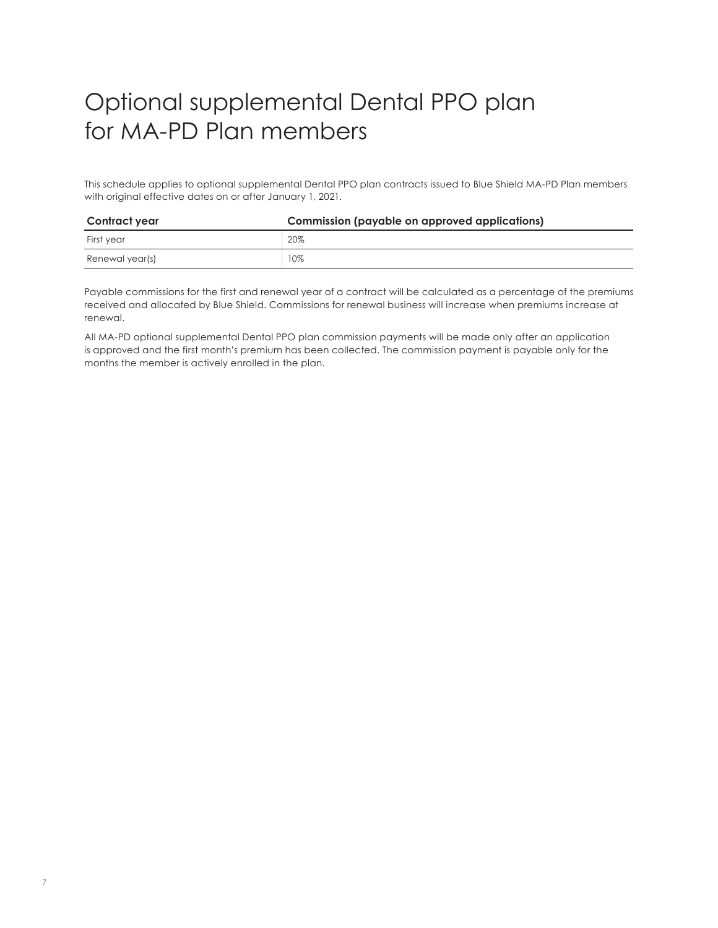# Optional supplemental Dental PPO plan for MA-PD Plan members

This schedule applies to optional supplemental Dental PPO plan contracts issued to Blue Shield MA-PD Plan members with original effective dates on or after January 1, 2021.

| Contract year   | <b>Commission (payable on approved applications)</b> |
|-----------------|------------------------------------------------------|
| First year      | 20%                                                  |
| Renewal year(s) | 10%                                                  |

Payable commissions for the first and renewal year of a contract will be calculated as a percentage of the premiums received and allocated by Blue Shield. Commissions for renewal business will increase when premiums increase at renewal.

All MA-PD optional supplemental Dental PPO plan commission payments will be made only after an application is approved and the first month's premium has been collected. The commission payment is payable only for the months the member is actively enrolled in the plan.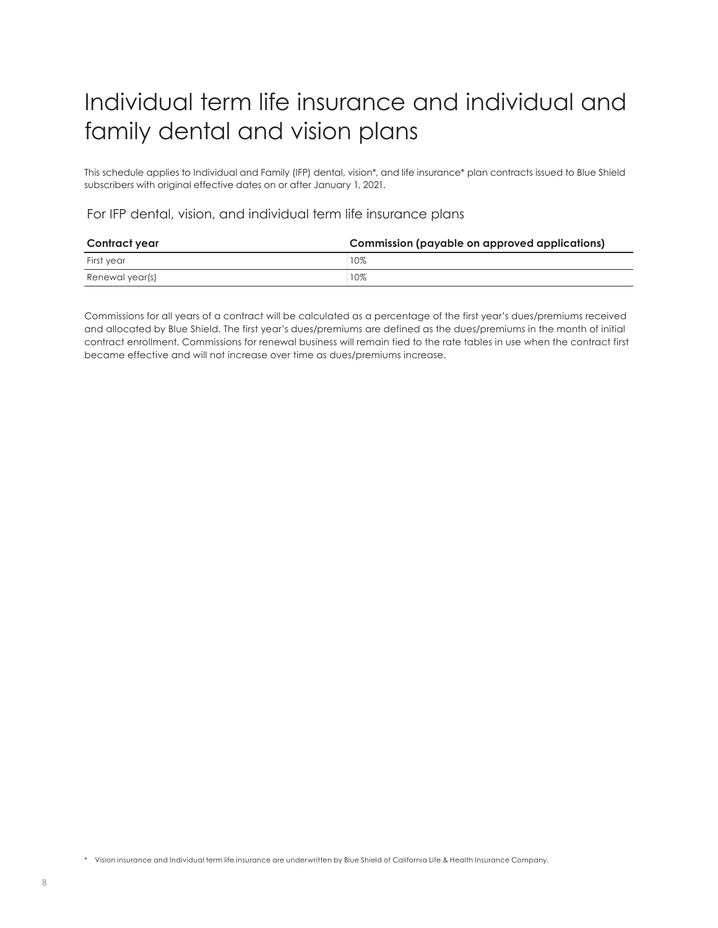# Individual term life insurance and individual and family dental and vision plans

This schedule applies to Individual and Family (IFP) dental, vision\*, and life insurance\* plan contracts issued to Blue Shield subscribers with original effective dates on or after January 1, 2021.

#### For IFP dental, vision, and individual term life insurance plans

| Contract year   | Commission (payable on approved applications) |
|-----------------|-----------------------------------------------|
| First vear      | 10%                                           |
| Renewal year(s) | 10%                                           |

Commissions for all years of a contract will be calculated as a percentage of the first year's dues/premiums received and allocated by Blue Shield. The first year's dues/premiums are defined as the dues/premiums in the month of initial contract enrollment. Commissions for renewal business will remain tied to the rate tables in use when the contract first became effective and will not increase over time as dues/premiums increase.

\* Vision insurance and Individual term life insurance are underwritten by Blue Shield of California Life & Health Insurance Company.